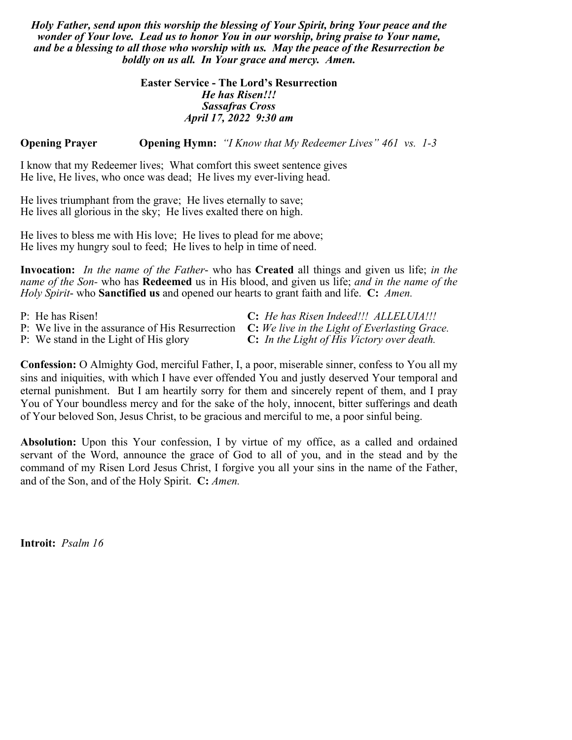*Holy Father, send upon this worship the blessing of Your Spirit, bring Your peace and the wonder of Your love. Lead us to honor You in our worship, bring praise to Your name, and be a blessing to all those who worship with us. May the peace of the Resurrection be boldly on us all. In Your grace and mercy. Amen.*

## **Easter Service - The Lord's Resurrection** *He has Risen!!! Sassafras Cross April 17, 2022 9:30 am*

**Opening Prayer Opening Hymn:** *"I Know that My Redeemer Lives" 461 vs. 1-3*

I know that my Redeemer lives; What comfort this sweet sentence gives He live, He lives, who once was dead; He lives my ever-living head.

He lives triumphant from the grave; He lives eternally to save; He lives all glorious in the sky; He lives exalted there on high.

He lives to bless me with His love; He lives to plead for me above; He lives my hungry soul to feed; He lives to help in time of need.

**Invocation:** *In the name of the Father*- who has **Created** all things and given us life; *in the name of the Son-* who has **Redeemed** us in His blood, and given us life; *and in the name of the Holy Spirit*- who **Sanctified us** and opened our hearts to grant faith and life. **C:** *Amen.*

| P: He has Risen!                                                                              | C: He has Risen Indeed!!! ALLELUIA!!!             |
|-----------------------------------------------------------------------------------------------|---------------------------------------------------|
| P: We live in the assurance of His Resurrection C: We live in the Light of Everlasting Grace. |                                                   |
| P: We stand in the Light of His glory                                                         | <b>C:</b> In the Light of His Victory over death. |

**Confession:** O Almighty God, merciful Father, I, a poor, miserable sinner, confess to You all my sins and iniquities, with which I have ever offended You and justly deserved Your temporal and eternal punishment. But I am heartily sorry for them and sincerely repent of them, and I pray You of Your boundless mercy and for the sake of the holy, innocent, bitter sufferings and death of Your beloved Son, Jesus Christ, to be gracious and merciful to me, a poor sinful being.

**Absolution:** Upon this Your confession, I by virtue of my office, as a called and ordained servant of the Word, announce the grace of God to all of you, and in the stead and by the command of my Risen Lord Jesus Christ, I forgive you all your sins in the name of the Father, and of the Son, and of the Holy Spirit. **C:** *Amen.*

**Introit:** *Psalm 16*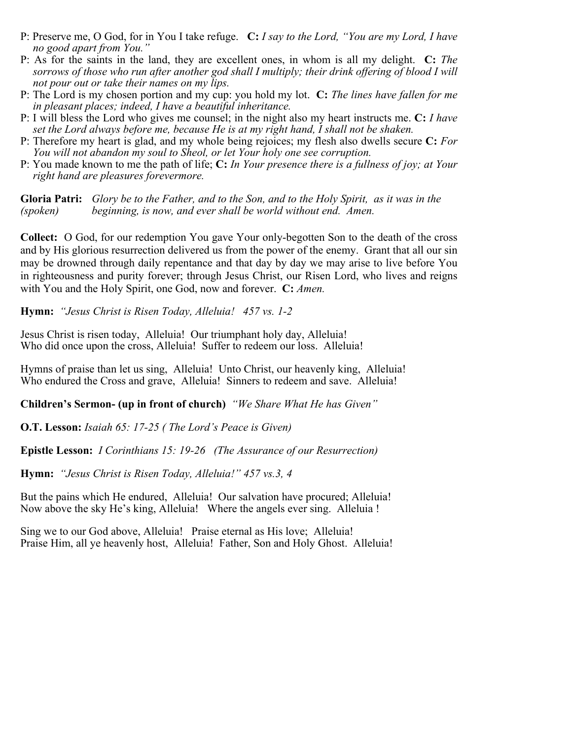- P: Preserve me, O God, for in You I take refuge. **C:** *I say to the Lord, "You are my Lord, I have no good apart from You."*
- P: As for the saints in the land, they are excellent ones, in whom is all my delight. **C:** *The sorrows of those who run after another god shall I multiply; their drink offering of blood I will not pour out or take their names on my lips.*
- P: The Lord is my chosen portion and my cup: you hold my lot. **C:** *The lines have fallen for me in pleasant places; indeed, I have a beautiful inheritance.*
- P: I will bless the Lord who gives me counsel; in the night also my heart instructs me. **C:** *I have set the Lord always before me, because He is at my right hand, I shall not be shaken.*
- P: Therefore my heart is glad, and my whole being rejoices; my flesh also dwells secure **C:** *For You will not abandon my soul to Sheol, or let Your holy one see corruption.*
- P: You made known to me the path of life; **C:** *In Your presence there is a fullness of joy; at Your right hand are pleasures forevermore.*

**Gloria Patri:** *Glory be to the Father, and to the Son, and to the Holy Spirit, as it was in the (spoken) beginning, is now, and ever shall be world without end. Amen.*

**Collect:** O God, for our redemption You gave Your only-begotten Son to the death of the cross and by His glorious resurrection delivered us from the power of the enemy. Grant that all our sin may be drowned through daily repentance and that day by day we may arise to live before You in righteousness and purity forever; through Jesus Christ, our Risen Lord, who lives and reigns with You and the Holy Spirit, one God, now and forever. **C:** *Amen.* 

**Hymn:** *"Jesus Christ is Risen Today, Alleluia! 457 vs. 1-2*

Jesus Christ is risen today, Alleluia! Our triumphant holy day, Alleluia! Who did once upon the cross, Alleluia! Suffer to redeem our loss. Alleluia!

Hymns of praise than let us sing, Alleluia! Unto Christ, our heavenly king, Alleluia! Who endured the Cross and grave, Alleluia! Sinners to redeem and save. Alleluia!

**Children's Sermon- (up in front of church)** *"We Share What He has Given"*

**O.T. Lesson:** *Isaiah 65: 17-25 ( The Lord's Peace is Given)*

**Epistle Lesson:** *I Corinthians 15: 19-26 (The Assurance of our Resurrection)*

**Hymn:** *"Jesus Christ is Risen Today, Alleluia!" 457 vs.3, 4* 

But the pains which He endured, Alleluia! Our salvation have procured; Alleluia! Now above the sky He's king, Alleluia! Where the angels ever sing. Alleluia !

Sing we to our God above, Alleluia! Praise eternal as His love; Alleluia! Praise Him, all ye heavenly host, Alleluia! Father, Son and Holy Ghost. Alleluia!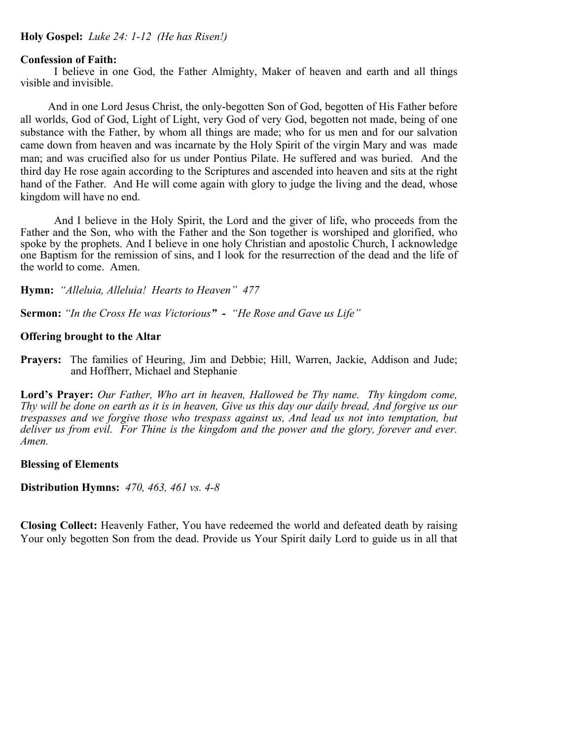## **Holy Gospel:** *Luke 24: 1-12 (He has Risen!)*

#### **Confession of Faith:**

I believe in one God, the Father Almighty, Maker of heaven and earth and all things visible and invisible.

 And in one Lord Jesus Christ, the only-begotten Son of God, begotten of His Father before all worlds, God of God, Light of Light, very God of very God, begotten not made, being of one substance with the Father, by whom all things are made; who for us men and for our salvation came down from heaven and was incarnate by the Holy Spirit of the virgin Mary and was made man; and was crucified also for us under Pontius Pilate. He suffered and was buried. And the third day He rose again according to the Scriptures and ascended into heaven and sits at the right hand of the Father. And He will come again with glory to judge the living and the dead, whose kingdom will have no end.

And I believe in the Holy Spirit, the Lord and the giver of life, who proceeds from the Father and the Son, who with the Father and the Son together is worshiped and glorified, who spoke by the prophets. And I believe in one holy Christian and apostolic Church, I acknowledge one Baptism for the remission of sins, and I look for the resurrection of the dead and the life of the world to come. Amen.

**Hymn:** *"Alleluia, Alleluia! Hearts to Heaven" 477*

**Sermon:** *"In the Cross He was Victorious" - "He Rose and Gave us Life"*

#### **Offering brought to the Altar**

**Prayers:** The families of Heuring, Jim and Debbie; Hill, Warren, Jackie, Addison and Jude; and Hoffherr, Michael and Stephanie

**Lord's Prayer:** *Our Father, Who art in heaven, Hallowed be Thy name. Thy kingdom come, Thy will be done on earth as it is in heaven, Give us this day our daily bread, And forgive us our trespasses and we forgive those who trespass against us, And lead us not into temptation, but deliver us from evil. For Thine is the kingdom and the power and the glory, forever and ever. Amen.* 

**Blessing of Elements** 

**Distribution Hymns:** *470, 463, 461 vs. 4-8* 

**Closing Collect:** Heavenly Father, You have redeemed the world and defeated death by raising Your only begotten Son from the dead. Provide us Your Spirit daily Lord to guide us in all that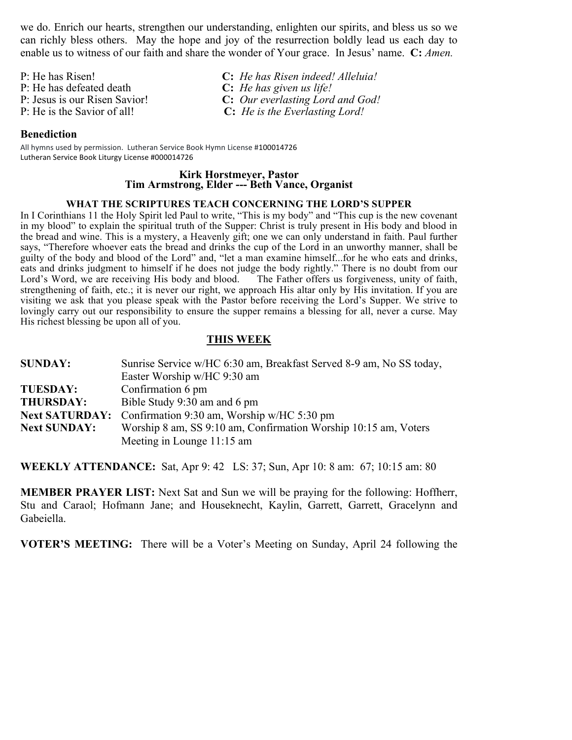we do. Enrich our hearts, strengthen our understanding, enlighten our spirits, and bless us so we can richly bless others. May the hope and joy of the resurrection boldly lead us each day to enable us to witness of our faith and share the wonder of Your grace. In Jesus' name. **C:** *Amen.*

- 
- 
- 

## **Benediction**

All hymns used by permission. Lutheran Service Book Hymn License #100014726 Lutheran Service Book Liturgy License #000014726

# **Kirk Horstmeyer, Pastor Tim Armstrong, Elder --- Beth Vance, Organist**

#### **WHAT THE SCRIPTURES TEACH CONCERNING THE LORD'S SUPPER**

In I Corinthians 11 the Holy Spirit led Paul to write, "This is my body" and "This cup is the new covenant in my blood" to explain the spiritual truth of the Supper: Christ is truly present in His body and blood in the bread and wine. This is a mystery, a Heavenly gift; one we can only understand in faith. Paul further says, "Therefore whoever eats the bread and drinks the cup of the Lord in an unworthy manner, shall be guilty of the body and blood of the Lord" and, "let a man examine himself...for he who eats and drinks, eats and drinks judgment to himself if he does not judge the body rightly." There is no doubt from our Lord's Word, we are receiving His body and blood. The Father offers us forgiveness, unity of faith, strengthening of faith, etc.; it is never our right, we approach His altar only by His invitation. If you are visiting we ask that you please speak with the Pastor before receiving the Lord's Supper. We strive to lovingly carry out our responsibility to ensure the supper remains a blessing for all, never a curse. May His richest blessing be upon all of you.

## **THIS WEEK**

| <b>SUNDAY:</b>      | Sunrise Service w/HC 6:30 am, Breakfast Served 8-9 am, No SS today, |  |
|---------------------|---------------------------------------------------------------------|--|
|                     | Easter Worship w/HC 9:30 am                                         |  |
| <b>TUESDAY:</b>     | Confirmation 6 pm                                                   |  |
| <b>THURSDAY:</b>    | Bible Study 9:30 am and 6 pm                                        |  |
|                     | <b>Next SATURDAY:</b> Confirmation 9:30 am, Worship w/HC 5:30 pm    |  |
| <b>Next SUNDAY:</b> | Worship 8 am, SS 9:10 am, Confirmation Worship 10:15 am, Voters     |  |
|                     | Meeting in Lounge 11:15 am                                          |  |

**WEEKLY ATTENDANCE:** Sat, Apr 9: 42 LS: 37; Sun, Apr 10: 8 am: 67; 10:15 am: 80

**MEMBER PRAYER LIST:** Next Sat and Sun we will be praying for the following: Hoffherr, Stu and Caraol; Hofmann Jane; and Houseknecht, Kaylin, Garrett, Garrett, Gracelynn and Gabeiella.

**VOTER'S MEETING:** There will be a Voter's Meeting on Sunday, April 24 following the

P: He has Risen! **C:** *He has Risen indeed! Alleluia!* P: He has defeated death **C:** *He has given us life!* P: Jesus is our Risen Savior! **C:** *Our everlasting Lord and God!*  P: He is the Savior of all! **C:** *He is the Everlasting Lord!*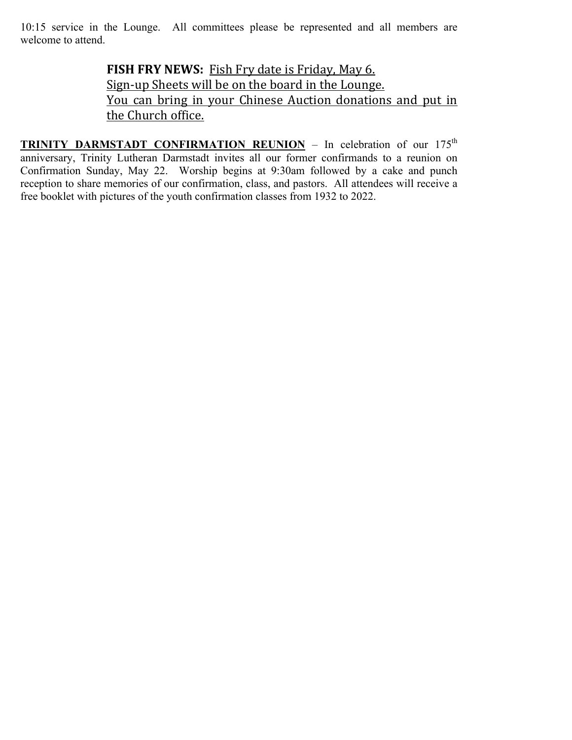10:15 service in the Lounge. All committees please be represented and all members are welcome to attend.

> **FISH FRY NEWS:** Fish Fry date is Friday, May 6. Sign-up Sheets will be on the board in the Lounge. You can bring in your Chinese Auction donations and put in the Church office.

**TRINITY DARMSTADT CONFIRMATION REUNION** – In celebration of our 175<sup>th</sup> anniversary, Trinity Lutheran Darmstadt invites all our former confirmands to a reunion on Confirmation Sunday, May 22. Worship begins at 9:30am followed by a cake and punch reception to share memories of our confirmation, class, and pastors. All attendees will receive a free booklet with pictures of the youth confirmation classes from 1932 to 2022.